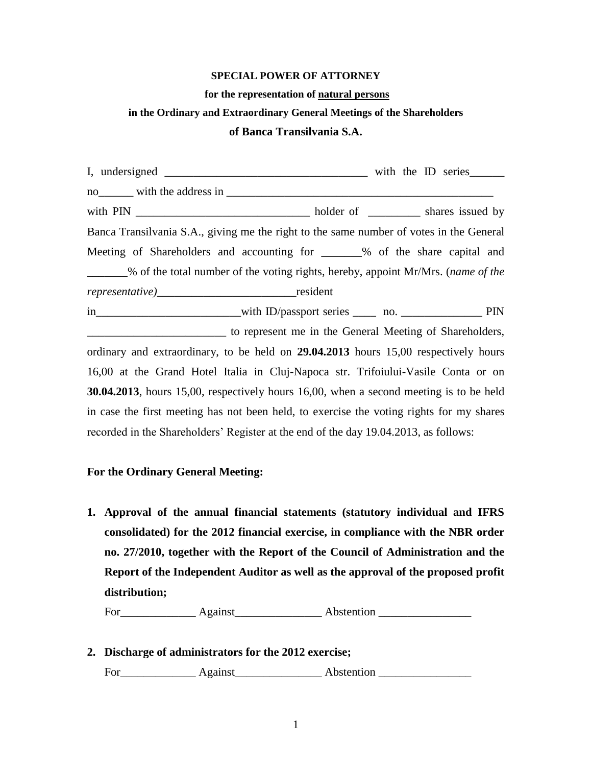### **SPECIAL POWER OF ATTORNEY**

#### **for the representation of natural persons**

# **in the Ordinary and Extraordinary General Meetings of the Shareholders**

## **of Banca Transilvania S.A.**

I, undersigned with the ID series no with the address in  $\blacksquare$ with PIN \_\_\_\_\_\_\_\_\_\_\_\_\_\_\_\_\_\_\_\_\_\_\_\_\_\_\_\_\_\_ holder of \_\_\_\_\_\_\_\_\_ shares issued by Banca Transilvania S.A., giving me the right to the same number of votes in the General Meeting of Shareholders and accounting for  $\%$  of the share capital and \_\_\_\_\_\_\_% of the total number of the voting rights, hereby, appoint Mr/Mrs. (*name of the representative)*\_\_\_\_\_\_\_\_\_\_\_\_\_\_\_\_\_\_\_\_\_\_\_\_resident in\_\_\_\_\_\_\_\_\_\_\_\_\_\_\_\_\_\_\_\_\_\_with ID/passport series \_\_\_\_\_ no. \_\_\_\_\_\_\_\_\_\_\_\_\_\_\_\_\_\_ PIN \_\_\_\_\_\_\_\_\_\_\_\_\_\_\_\_\_\_\_\_\_\_\_\_ to represent me in the General Meeting of Shareholders, ordinary and extraordinary, to be held on **29.04.2013** hours 15,00 respectively hours 16,00 at the Grand Hotel Italia in Cluj-Napoca str. Trifoiului-Vasile Conta or on **30.04.2013**, hours 15,00, respectively hours 16,00, when a second meeting is to be held in case the first meeting has not been held, to exercise the voting rights for my shares recorded in the Shareholders' Register at the end of the day 19.04.2013, as follows:

### **For the Ordinary General Meeting:**

**1. Approval of the annual financial statements (statutory individual and IFRS consolidated) for the 2012 financial exercise, in compliance with the NBR order no. 27/2010, together with the Report of the Council of Administration and the Report of the Independent Auditor as well as the approval of the proposed profit distribution;**

For Against Abstention

**2. Discharge of administrators for the 2012 exercise;** 

For\_\_\_\_\_\_\_\_\_\_\_\_\_ Against\_\_\_\_\_\_\_\_\_\_\_\_\_\_\_ Abstention \_\_\_\_\_\_\_\_\_\_\_\_\_\_\_\_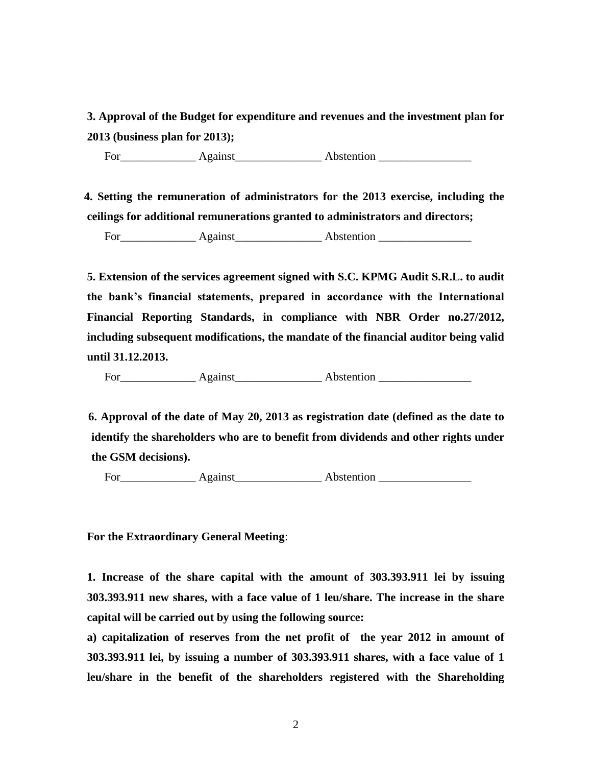**3. Approval of the Budget for expenditure and revenues and the investment plan for 2013 (business plan for 2013);** 

For\_\_\_\_\_\_\_\_\_\_\_\_\_ Against\_\_\_\_\_\_\_\_\_\_\_\_\_\_\_ Abstention \_\_\_\_\_\_\_\_\_\_\_\_\_\_\_\_

 **4. Setting the remuneration of administrators for the 2013 exercise, including the ceilings for additional remunerations granted to administrators and directors;**

For\_\_\_\_\_\_\_\_\_\_\_\_\_ Against\_\_\_\_\_\_\_\_\_\_\_\_\_\_\_ Abstention \_\_\_\_\_\_\_\_\_\_\_\_\_\_\_\_

**5. Extension of the services agreement signed with S.C. KPMG Audit S.R.L. to audit the bank's financial statements, prepared in accordance with the International Financial Reporting Standards, in compliance with NBR Order no.27/2012, including subsequent modifications, the mandate of the financial auditor being valid until 31.12.2013.**

For Against Abstention **Abstention** 

 **6. Approval of the date of May 20, 2013 as registration date (defined as the date to identify the shareholders who are to benefit from dividends and other rights under the GSM decisions).** 

For\_\_\_\_\_\_\_\_\_\_\_\_\_ Against\_\_\_\_\_\_\_\_\_\_\_\_\_\_\_ Abstention \_\_\_\_\_\_\_\_\_\_\_\_\_\_\_\_

**For the Extraordinary General Meeting**:

**1. Increase of the share capital with the amount of 303.393.911 lei by issuing 303.393.911 new shares, with a face value of 1 leu/share. The increase in the share capital will be carried out by using the following source:**

**a) capitalization of reserves from the net profit of the year 2012 in amount of 303.393.911 lei, by issuing a number of 303.393.911 shares, with a face value of 1 leu/share in the benefit of the shareholders registered with the Shareholding**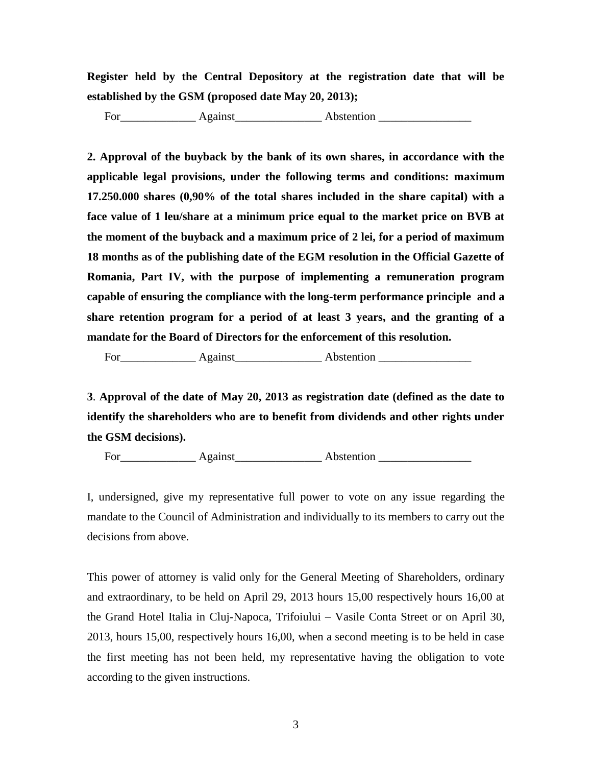**Register held by the Central Depository at the registration date that will be established by the GSM (proposed date May 20, 2013);** 

For\_\_\_\_\_\_\_\_\_\_\_\_\_ Against\_\_\_\_\_\_\_\_\_\_\_\_\_\_\_ Abstention \_\_\_\_\_\_\_\_\_\_\_\_\_\_\_\_

**2. Approval of the buyback by the bank of its own shares, in accordance with the applicable legal provisions, under the following terms and conditions: maximum 17.250.000 shares (0,90% of the total shares included in the share capital) with a face value of 1 leu/share at a minimum price equal to the market price on BVB at the moment of the buyback and a maximum price of 2 lei, for a period of maximum 18 months as of the publishing date of the EGM resolution in the Official Gazette of Romania, Part IV, with the purpose of implementing a remuneration program capable of ensuring the compliance with the long-term performance principle and a share retention program for a period of at least 3 years, and the granting of a mandate for the Board of Directors for the enforcement of this resolution.** 

For\_\_\_\_\_\_\_\_\_\_\_\_\_ Against\_\_\_\_\_\_\_\_\_\_\_\_\_\_\_ Abstention \_\_\_\_\_\_\_\_\_\_\_\_\_\_\_\_

**3**. **Approval of the date of May 20, 2013 as registration date (defined as the date to identify the shareholders who are to benefit from dividends and other rights under the GSM decisions).** 

For\_\_\_\_\_\_\_\_\_\_\_\_\_ Against\_\_\_\_\_\_\_\_\_\_\_\_\_\_\_ Abstention \_\_\_\_\_\_\_\_\_\_\_\_\_\_\_\_

I, undersigned, give my representative full power to vote on any issue regarding the mandate to the Council of Administration and individually to its members to carry out the decisions from above.

This power of attorney is valid only for the General Meeting of Shareholders, ordinary and extraordinary, to be held on April 29, 2013 hours 15,00 respectively hours 16,00 at the Grand Hotel Italia in Cluj-Napoca, Trifoiului – Vasile Conta Street or on April 30, 2013, hours 15,00, respectively hours 16,00, when a second meeting is to be held in case the first meeting has not been held, my representative having the obligation to vote according to the given instructions.